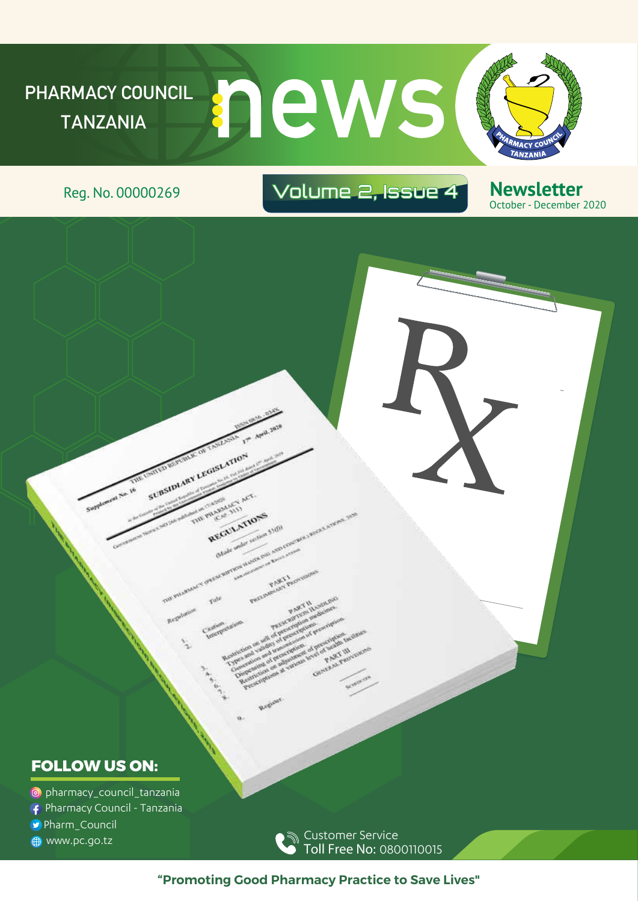

SUBSIDIARY LEGISLATION

AMANCY ACT REGULATIONS

section 55001

### Reg. No. 00000269 Volume 2, Issue 4

**Newsletter** October - December 2020

#### **FOLLOW US ON:**

- pharmacy\_council\_tanzania
- Pharmacy Council Tanzania
- Pharm\_Council
- **B** www.pc.go.tz

Customer Service Toll Free No: 0800110015

**"Promoting Good Pharmacy Practice to Save Lives"**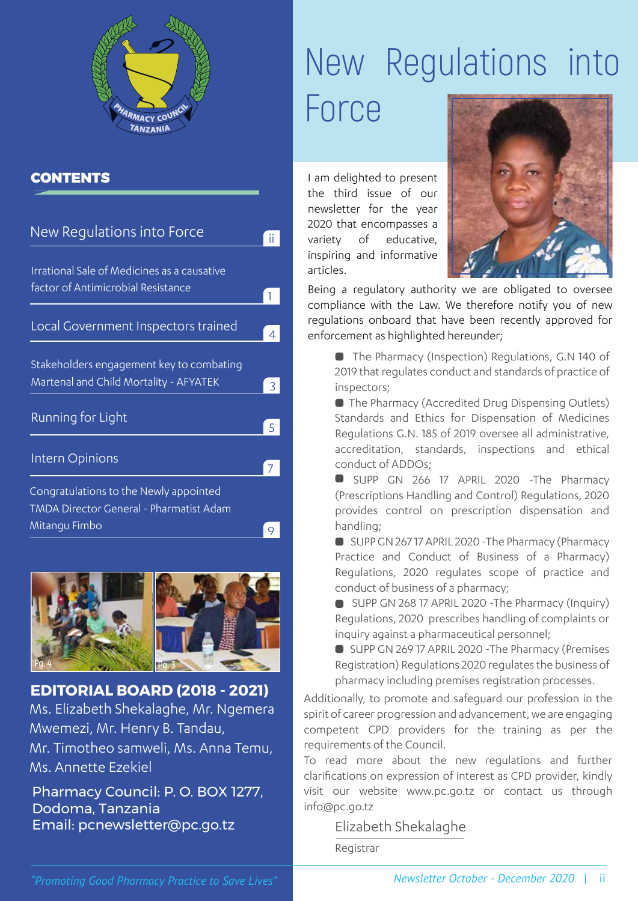

#### **CONTENTS**

| New Regulations into Force                                                         |   |
|------------------------------------------------------------------------------------|---|
| Irrational Sale of Medicines as a causative<br>factor of Antimicrobial Resistance  |   |
| Local Government Inspectors trained                                                | 4 |
| Stakeholders engagement key to combating<br>Martenal and Child Mortality - AFYATEK | 3 |
| Running for Light                                                                  |   |
| Intern Opinions                                                                    |   |
| Congratulations to the Newly appointed<br>TMDA Director General - Pharmatist Adam  |   |
| Mitangu Fimbo                                                                      |   |



Ms. Elizabeth Shekalaghe, Mr. Ngemera Mwemezi, Mr. Henry B. Tandau, Mr. Timotheo samweli, Ms. Anna Temu, Ms. Annette Ezekiel **EDITORIAL BOARD (2018 - 2021)**

Pharmacy Council: P. O. BOX 1277, Dodoma, Tanzania Email: pcnewsletter@pc.go.tz

# New Regulations into Force

I am delighted to present the third issue of our newsletter for the year 2020 that encompasses a variety of educative, inspiring and informative articles.



Being a regulatory authority we are obligated to oversee compliance with the Law. We therefore notify you of new regulations onboard that have been recently approved for enforcement as highlighted hereunder;

 The Pharmacy (Inspection) Regulations, G.N 140 of 2019 that regulates conduct and standards of practice of inspectors;

 The Pharmacy (Accredited Drug Dispensing Outlets) Standards and Ethics for Dispensation of Medicines Regulations G.N. 185 of 2019 oversee all administrative, accreditation, standards, inspections and ethical conduct of ADDOs;

SUPP GN 266 17 APRIL 2020 -The Pharmacy (Prescriptions Handling and Control) Regulations, 2020 provides control on prescription dispensation and handling;

SUPP GN 26717 APRIL 2020 - The Pharmacy (Pharmacy Practice and Conduct of Business of a Pharmacy) Regulations, 2020 regulates scope of practice and conduct of business of a pharmacy;

SUPP GN 268 17 APRIL 2020 - The Pharmacy (Inquiry) Regulations, 2020 prescribes handling of complaints or inquiry against a pharmaceutical personnel;

SUPP GN 269 17 APRIL 2020 - The Pharmacy (Premises Registration) Regulations 2020 regulates the business of pharmacy including premises registration processes.

Additionally, to promote and safeguard our profession in the spirit of career progression and advancement, we are engaging competent CPD providers for the training as per the requirements of the Council.

To read more about the new regulations and further clarifications on expression of interest as CPD provider, kindly visit our website www.pc.go.tz or contact us through info@pc.go.tz

#### Elizabeth Shekalaghe

Registrar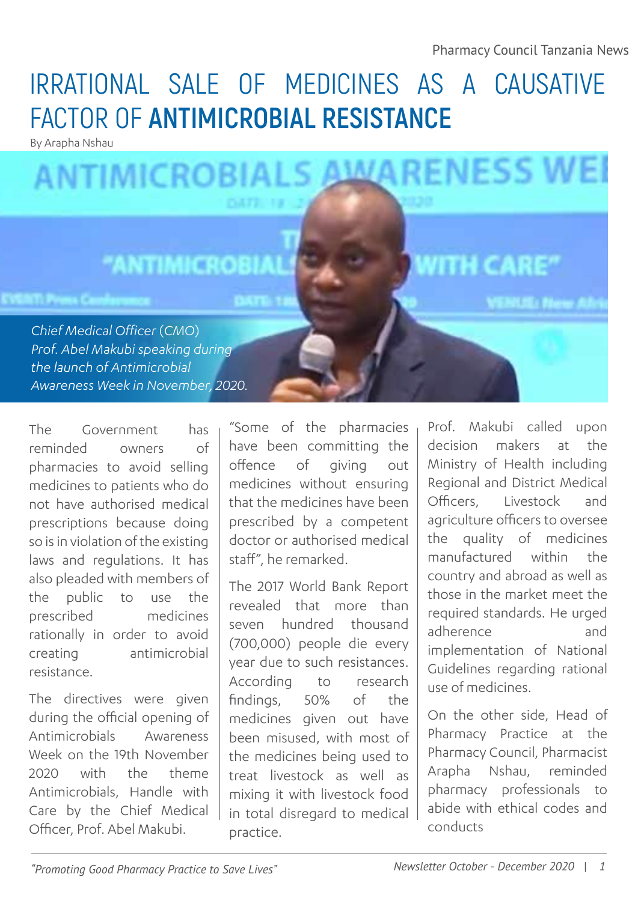## IRRATIONAL SALE OF MEDICINES AS A CAUSATIVE FACTOR OF **ANTIMICROBIAL RESISTANCE**

By Arapha Nshau

### **AWARENESS WEI ANTIMICROBIALS**

### **NTIMICR**

*Chief Medical Officer* (*CMO*) *Prof. Abel Makubi speaking during the launch of Antimicrobial Awareness Week in November, 2020.* 

The Government has reminded owners of pharmacies to avoid selling medicines to patients who do not have authorised medical prescriptions because doing so is in violation of the existing laws and regulations. It has also pleaded with members of the public to use the prescribed medicines rationally in order to avoid creating antimicrobial resistance.

The directives were given during the official opening of Antimicrobials Awareness Week on the 19th November 2020 with the theme Antimicrobials, Handle with Care by the Chief Medical Officer, Prof. Abel Makubi.

"Some of the pharmacies have been committing the offence of giving out medicines without ensuring that the medicines have been prescribed by a competent doctor or authorised medical staff", he remarked.

The 2017 World Bank Report revealed that more than seven hundred thousand (700,000) people die every year due to such resistances. According to research findings, 50% of the medicines given out have been misused, with most of the medicines being used to treat livestock as well as mixing it with livestock food in total disregard to medical practice.

Prof. Makubi called upon decision makers at the Ministry of Health including Regional and District Medical Officers, Livestock and agriculture officers to oversee the quality of medicines manufactured within the country and abroad as well as those in the market meet the required standards. He urged adherence and implementation of National Guidelines regarding rational use of medicines.

On the other side, Head of Pharmacy Practice at the Pharmacy Council, Pharmacist Arapha Nshau, reminded pharmacy professionals to abide with ethical codes and conducts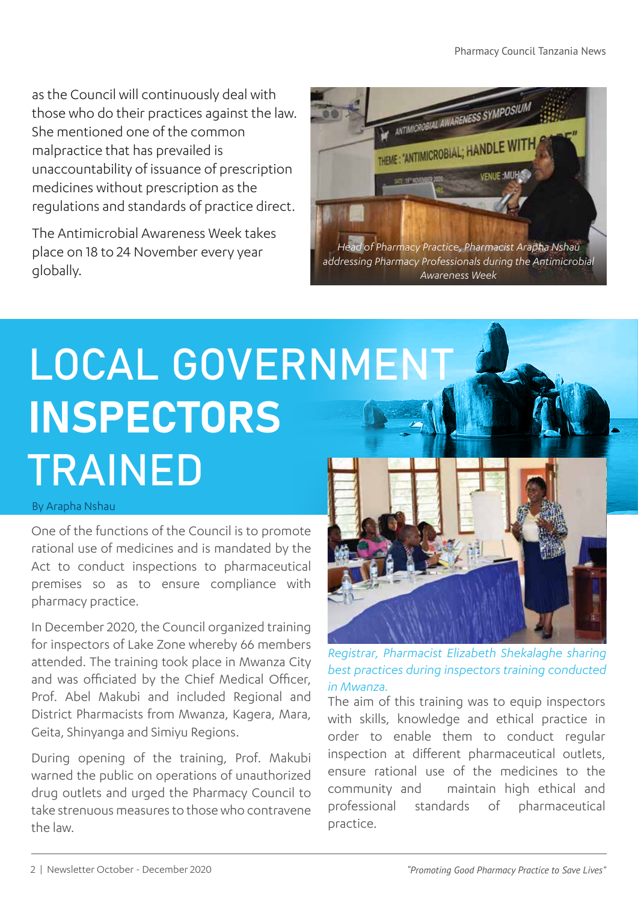as the Council will continuously deal with those who do their practices against the law. She mentioned one of the common malpractice that has prevailed is unaccountability of issuance of prescription medicines without prescription as the regulations and standards of practice direct.

The Antimicrobial Awareness Week takes place on 18 to 24 November every year globally.



# LOCAL GOVERNMENT INSPECTORS TRAINED

#### By Arapha Nshau

One of the functions of the Council is to promote rational use of medicines and is mandated by the Act to conduct inspections to pharmaceutical premises so as to ensure compliance with pharmacy practice.

In December 2020, the Council organized training for inspectors of Lake Zone whereby 66 members attended. The training took place in Mwanza City and was officiated by the Chief Medical Officer, Prof. Abel Makubi and included Regional and District Pharmacists from Mwanza, Kagera, Mara, Geita, Shinyanga and Simiyu Regions.

During opening of the training, Prof. Makubi warned the public on operations of unauthorized drug outlets and urged the Pharmacy Council to take strenuous measures to those who contravene the law.



*Registrar, Pharmacist Elizabeth Shekalaghe sharing best practices during inspectors training conducted in Mwanza.*

The aim of this training was to equip inspectors with skills, knowledge and ethical practice in order to enable them to conduct regular inspection at different pharmaceutical outlets, ensure rational use of the medicines to the community and maintain high ethical and professional standards of pharmaceutical practice.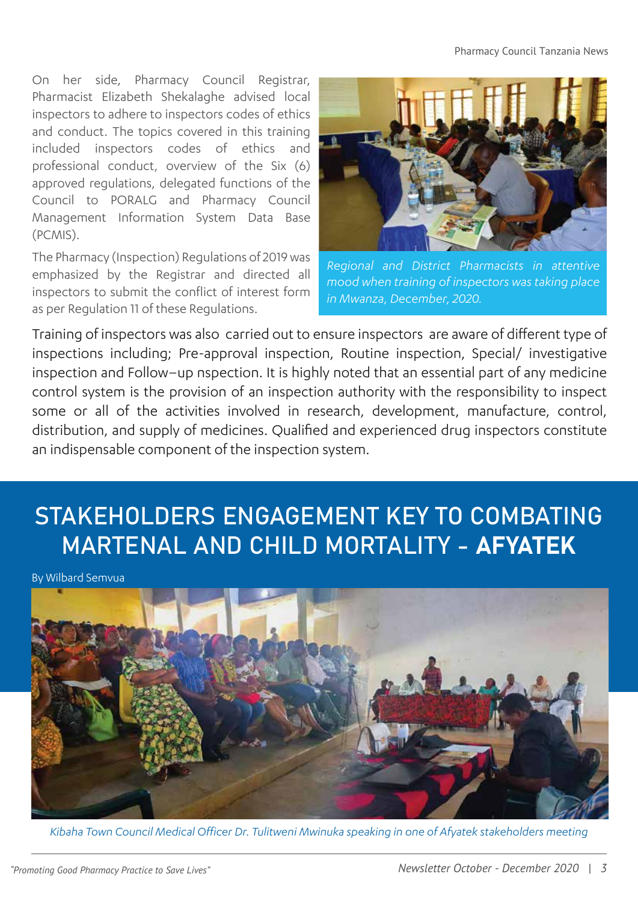On her side, Pharmacy Council Registrar, Pharmacist Elizabeth Shekalaghe advised local inspectors to adhere to inspectors codes of ethics and conduct. The topics covered in this training included inspectors codes of ethics and professional conduct, overview of the Six (6) approved regulations, delegated functions of the Council to PORALG and Pharmacy Council Management Information System Data Base (PCMIS).

The Pharmacy (Inspection) Regulations of 2019 was emphasized by the Registrar and directed all inspectors to submit the conflict of interest form as per Regulation 11 of these Regulations.



*Regional and District Pharmacists in attentive mood when training of inspectors was taking place in Mwanza, December, 2020.*

Training of inspectors was also carried out to ensure inspectors are aware of different type of inspections including; Pre-approval inspection, Routine inspection, Special/ investigative inspection and Follow–up nspection. It is highly noted that an essential part of any medicine control system is the provision of an inspection authority with the responsibility to inspect some or all of the activities involved in research, development, manufacture, control, distribution, and supply of medicines. Qualified and experienced drug inspectors constitute an indispensable component of the inspection system.

### STAKEHOLDERS ENGAGEMENT KEY TO COMBATING MARTENAL AND CHILD MORTALITY - AFYATEK

By Wilbard Semvua



*Kibaha Town Council Medical Officer Dr. Tulitweni Mwinuka speaking in one of Afyatek stakeholders meeting*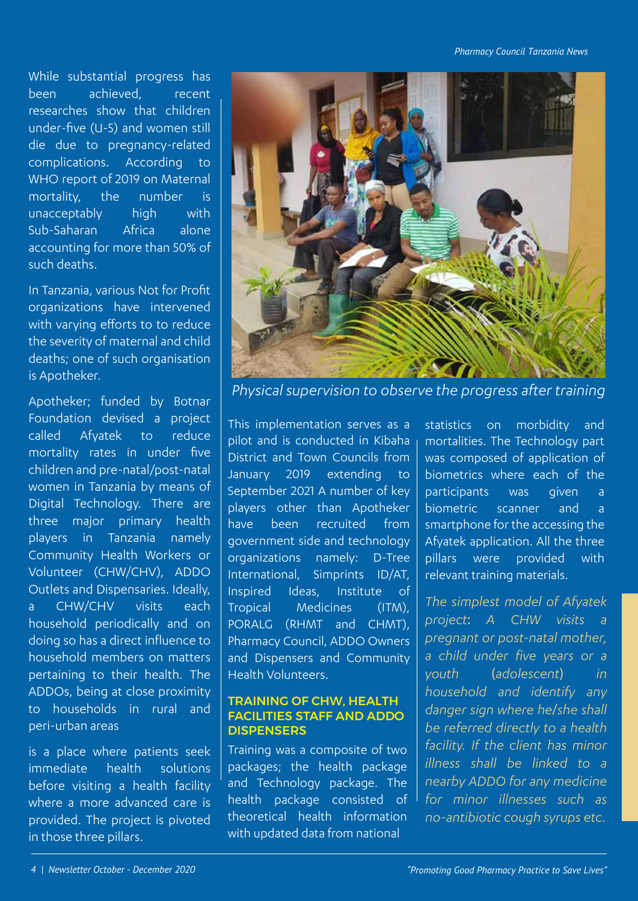*Pharmacy Council Tanzania News*

While substantial progress has been achieved, recent researches show that children under-five (U-5) and women still die due to pregnancy-related complications. According to WHO report of 2019 on Maternal mortality, the number is unacceptably high with Sub-Saharan Africa alone accounting for more than 50% of such deaths.

In Tanzania, various Not for Profit organizations have intervened with varying efforts to to reduce the severity of maternal and child deaths; one of such organisation is Apotheker.

Apotheker; funded by Botnar Foundation devised a project called Afyatek to reduce mortality rates in under five children and pre-natal/post-natal women in Tanzania by means of Digital Technology. There are three major primary health players in Tanzania namely Community Health Workers or Volunteer (CHW/CHV), ADDO Outlets and Dispensaries. Ideally, a CHW/CHV visits each household periodically and on doing so has a direct influence to household members on matters pertaining to their health. The ADDOs, being at close proximity to households in rural and peri-urban areas

is a place where patients seek immediate health solutions before visiting a health facility where a more advanced care is provided. The project is pivoted in those three pillars.



*Physical supervision to observe the progress after training*

This implementation serves as a pilot and is conducted in Kibaha District and Town Councils from January 2019 extending to September 2021 A number of key players other than Apotheker have been recruited from government side and technology organizations namely: D-Tree International, Simprints ID/AT, Inspired Ideas, Institute of Tropical Medicines (ITM), PORALG (RHMT and CHMT), Pharmacy Council, ADDO Owners and Dispensers and Community Health Volunteers.

#### TRAINING OF CHW, HEALTH FACILITIES STAFF AND ADDO **DISPENSERS**

Training was a composite of two packages; the health package and Technology package. The health package consisted of theoretical health information with updated data from national

statistics on morbidity and mortalities. The Technology part was composed of application of biometrics where each of the participants was given a biometric scanner and a smartphone for the accessing the Afyatek application. All the three pillars were provided with relevant training materials.

*The simplest model of Afyatek project*: *A CHW visits a pregnant or post-natal mother, a child under five years or a youth* (*adolescent*) *in household and identify any danger sign where he*/*she shall be referred directly to a health facility. If the client has minor illness shall be linked to a nearby ADDO for any medicine for minor illnesses such as no-antibiotic cough syrups etc.*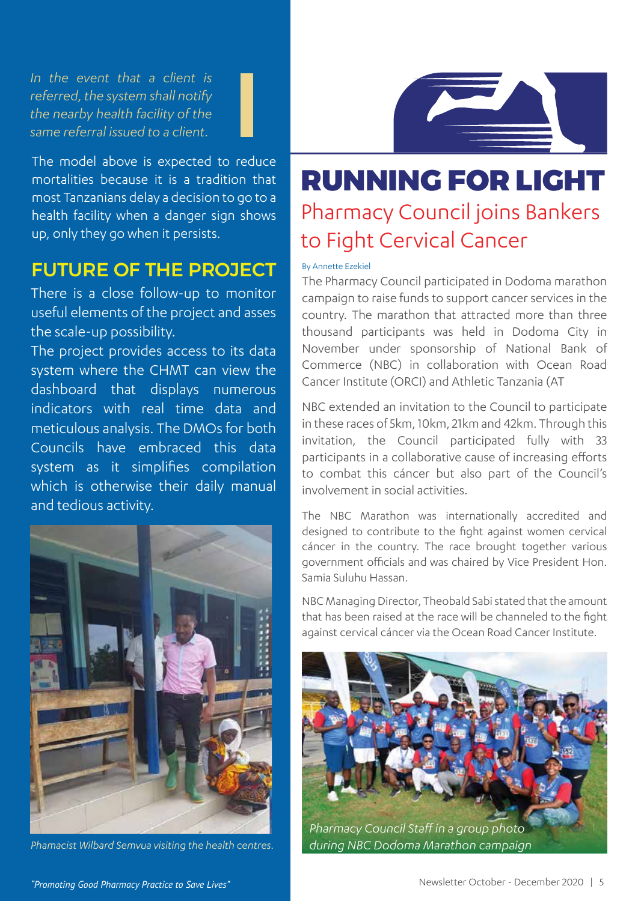*In the event that a client is referred, the system shall notify the nearby health facility of the same referral issued to a client.*

The model above is expected to reduce mortalities because it is a tradition that most Tanzanians delay a decision to go to a health facility when a danger sign shows up, only they go when it persists.

#### FUTURE OF THE PROJECT

There is a close follow-up to monitor useful elements of the project and asses the scale-up possibility.

The project provides access to its data system where the CHMT can view the dashboard that displays numerous indicators with real time data and meticulous analysis. The DMOs for both Councils have embraced this data system as it simplifies compilation which is otherwise their daily manual and tedious activity.



*Phamacist Wilbard Semvua visiting the health centres.*



### RUNNING FOR LIGHT Pharmacy Council joins Bankers to Fight Cervical Cancer

#### By Annette Ezekiel

The Pharmacy Council participated in Dodoma marathon campaign to raise funds to support cancer services in the country. The marathon that attracted more than three thousand participants was held in Dodoma City in November under sponsorship of National Bank of Commerce (NBC) in collaboration with Ocean Road Cancer Institute (ORCI) and Athletic Tanzania (AT

NBC extended an invitation to the Council to participate in these races of 5km, 10km, 21km and 42km. Through this invitation, the Council participated fully with 33 participants in a collaborative cause of increasing efforts to combat this cáncer but also part of the Council's involvement in social activities.

The NBC Marathon was internationally accredited and designed to contribute to the fight against women cervical cáncer in the country. The race brought together various government officials and was chaired by Vice President Hon. Samia Suluhu Hassan.

NBC Managing Director, Theobald Sabi stated that the amount that has been raised at the race will be channeled to the fight against cervical cáncer via the Ocean Road Cancer Institute.

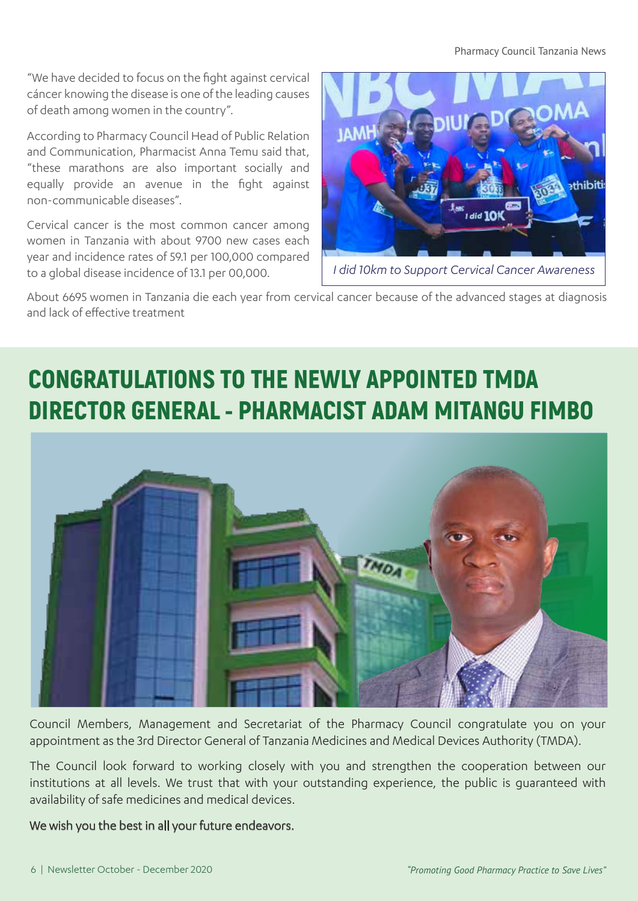#### Pharmacy Council Tanzania News

"We have decided to focus on the fight against cervical cáncer knowing the disease is one of the leading causes of death among women in the country".

According to Pharmacy Council Head of Public Relation and Communication, Pharmacist Anna Temu said that, "these marathons are also important socially and equally provide an avenue in the fight against non-communicable diseases".

Cervical cancer is the most common cancer among women in Tanzania with about 9700 new cases each year and incidence rates of 59.1 per 100,000 compared to a global disease incidence of 13.1 per 00,000.



*I did 10km to Support Cervical Cancer Awareness* 

About 6695 women in Tanzania die each year from cervical cancer because of the advanced stages at diagnosis and lack of effective treatment

### CONGRATULATIONS TO THE NEWLY APPOINTED TMDA DIRECTOR GENERAL - PHARMACIST ADAM MITANGU FIMBO



Council Members, Management and Secretariat of the Pharmacy Council congratulate you on your appointment as the 3rd Director General of Tanzania Medicines and Medical Devices Authority (TMDA).

The Council look forward to working closely with you and strengthen the cooperation between our institutions at all levels. We trust that with your outstanding experience, the public is guaranteed with availability of safe medicines and medical devices.

#### We wish you the best in all your future endeavors.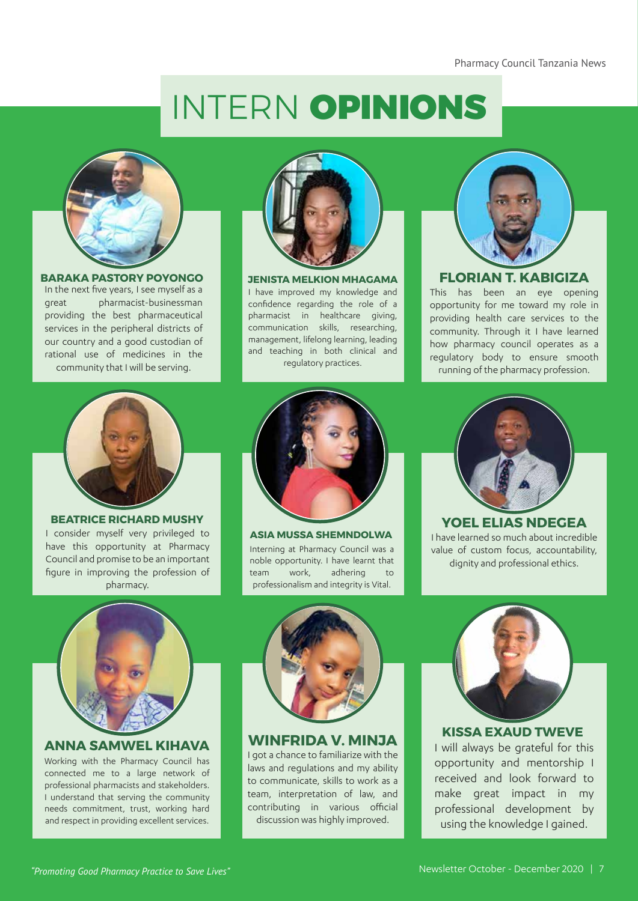# INTERN OPINIONS



In the next five years, I see myself as a great pharmacist-businessman providing the best pharmaceutical services in the peripheral districts of our country and a good custodian of rational use of medicines in the community that I will be serving. **BARAKA PASTORY POYONGO** 



I have improved my knowledge and confidence regarding the role of a pharmacist in healthcare giving, communication skills, researching, management, lifelong learning, leading and teaching in both clinical and regulatory practices. **JENISTA MELKION MHAGAMA**



#### **FLORIAN T. KABIGIZA**

This has been an eye opening opportunity for me toward my role in providing health care services to the community. Through it I have learned how pharmacy council operates as a regulatory body to ensure smooth running of the pharmacy profession.



I consider myself very privileged to have this opportunity at Pharmacy Council and promise to be an important figure in improving the profession of pharmacy. **BEATRICE RICHARD MUSHY**



Interning at Pharmacy Council was a noble opportunity. I have learnt that team work, adhering to professionalism and integrity is Vital. **ASIA MUSSA SHEMNDOLWA** 



I have learned so much about incredible value of custom focus, accountability, dignity and professional ethics. **YOEL ELIAS NDEGEA**



#### **ANNA SAMWEL KIHAVA**

Working with the Pharmacy Council has connected me to a large network of professional pharmacists and stakeholders. I understand that serving the community needs commitment, trust, working hard and respect in providing excellent services.



**WINFRIDA V. MINJA**

I got a chance to familiarize with the laws and regulations and my ability to communicate, skills to work as a team, interpretation of law, and contributing in various official discussion was highly improved.



#### **KISSA EXAUD TWEVE**

I will always be grateful for this opportunity and mentorship I received and look forward to make great impact in my professional development by using the knowledge I gained.